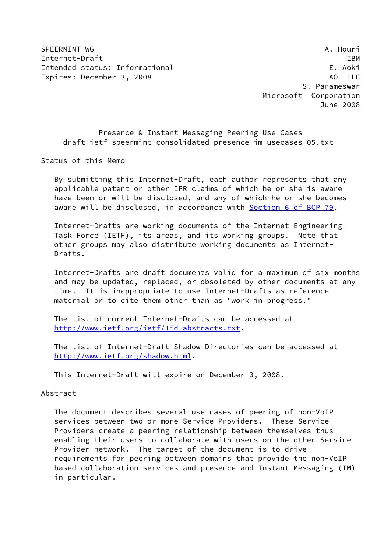SPEERMINT WG A. Houri Internet-Draft IBM Intended status: Informational E. Aoki Expires: December 3, 2008 AOL LLC

 S. Parameswar Microsoft Corporation June 2008

 Presence & Instant Messaging Peering Use Cases draft-ietf-speermint-consolidated-presence-im-usecases-05.txt

Status of this Memo

 By submitting this Internet-Draft, each author represents that any applicable patent or other IPR claims of which he or she is aware have been or will be disclosed, and any of which he or she becomes aware will be disclosed, in accordance with Section [6 of BCP 79.](https://datatracker.ietf.org/doc/pdf/bcp79#section-6)

 Internet-Drafts are working documents of the Internet Engineering Task Force (IETF), its areas, and its working groups. Note that other groups may also distribute working documents as Internet- Drafts.

 Internet-Drafts are draft documents valid for a maximum of six months and may be updated, replaced, or obsoleted by other documents at any time. It is inappropriate to use Internet-Drafts as reference material or to cite them other than as "work in progress."

 The list of current Internet-Drafts can be accessed at <http://www.ietf.org/ietf/1id-abstracts.txt>.

 The list of Internet-Draft Shadow Directories can be accessed at <http://www.ietf.org/shadow.html>.

This Internet-Draft will expire on December 3, 2008.

#### Abstract

 The document describes several use cases of peering of non-VoIP services between two or more Service Providers. These Service Providers create a peering relationship between themselves thus enabling their users to collaborate with users on the other Service Provider network. The target of the document is to drive requirements for peering between domains that provide the non-VoIP based collaboration services and presence and Instant Messaging (IM) in particular.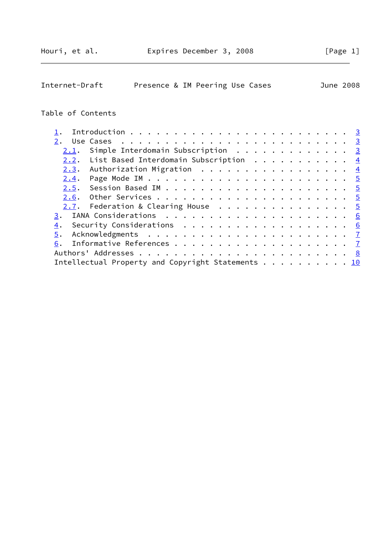| Internet-Draft<br>Presence & IM Peering Use Cases<br>June 2008                                                                                                                                                                                   |                |
|--------------------------------------------------------------------------------------------------------------------------------------------------------------------------------------------------------------------------------------------------|----------------|
| Table of Contents                                                                                                                                                                                                                                |                |
| $\mathbf{1}$ .                                                                                                                                                                                                                                   | $\overline{3}$ |
| 2.<br>Use Cases<br>. The contract of the contract of the contract of the contract of the contract of the contract of the contract of the contract of the contract of the contract of the contract of the contract of the contract of the contrac | $\overline{3}$ |
| Simple Interdomain Subscription<br><u>2.1</u> .                                                                                                                                                                                                  | $\overline{3}$ |
| List Based Interdomain Subscription<br>2.2.                                                                                                                                                                                                      | $\overline{4}$ |
| Authorization Migration<br>2.3.                                                                                                                                                                                                                  | $\overline{4}$ |
| 2.4.                                                                                                                                                                                                                                             | $\overline{5}$ |
| 2.5.                                                                                                                                                                                                                                             |                |
| 2.6.                                                                                                                                                                                                                                             |                |
| Federation & Clearing House $\ldots \ldots \ldots \ldots \ldots$<br>2.7.                                                                                                                                                                         |                |
| 3.                                                                                                                                                                                                                                               |                |
| Security Considerations $\ldots \ldots \ldots \ldots \ldots \ldots$<br>4.                                                                                                                                                                        |                |
| 5.                                                                                                                                                                                                                                               |                |
| 6.                                                                                                                                                                                                                                               |                |
|                                                                                                                                                                                                                                                  |                |
| Intellectual Property and Copyright Statements 10                                                                                                                                                                                                |                |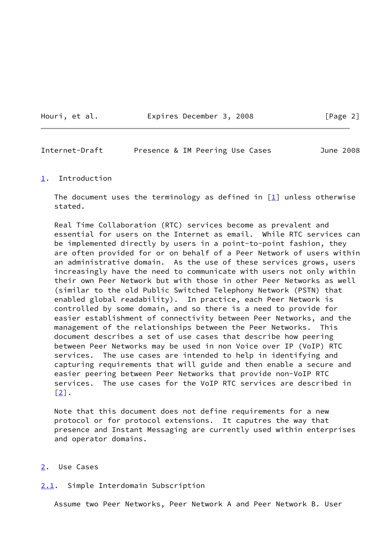Houri, et al. **Expires December 3, 2008** [Page 2]

<span id="page-2-1"></span>Internet-Draft Presence & IM Peering Use Cases June 2008

## <span id="page-2-0"></span>[1](#page-2-0). Introduction

The document uses the terminology as defined in  $[1]$  $[1]$  unless otherwise stated.

 Real Time Collaboration (RTC) services become as prevalent and essential for users on the Internet as email. While RTC services can be implemented directly by users in a point-to-point fashion, they are often provided for or on behalf of a Peer Network of users within an administrative domain. As the use of these services grows, users increasingly have the need to communicate with users not only within their own Peer Network but with those in other Peer Networks as well (similar to the old Public Switched Telephony Network (PSTN) that enabled global readability). In practice, each Peer Network is controlled by some domain, and so there is a need to provide for easier establishment of connectivity between Peer Networks, and the management of the relationships between the Peer Networks. This document describes a set of use cases that describe how peering between Peer Networks may be used in non Voice over IP (VoIP) RTC services. The use cases are intended to help in identifying and capturing requirements that will guide and then enable a secure and easier peering between Peer Networks that provide non-VoIP RTC services. The use cases for the VoIP RTC services are described in [\[2](#page-7-4)].

 Note that this document does not define requirements for a new protocol or for protocol extensions. It caputres the way that presence and Instant Messaging are currently used within enterprises and operator domains.

- <span id="page-2-2"></span>[2](#page-2-2). Use Cases
- <span id="page-2-3"></span>[2.1](#page-2-3). Simple Interdomain Subscription

Assume two Peer Networks, Peer Network A and Peer Network B. User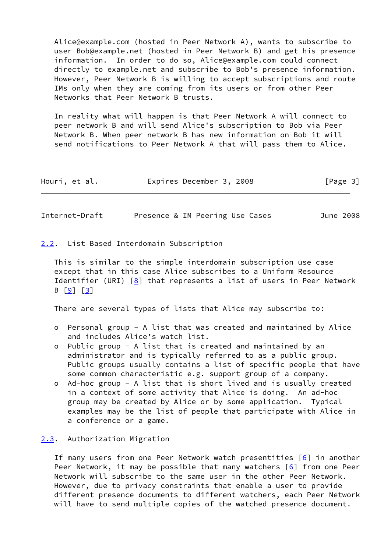Alice@example.com (hosted in Peer Network A), wants to subscribe to user Bob@example.net (hosted in Peer Network B) and get his presence information. In order to do so, Alice@example.com could connect directly to example.net and subscribe to Bob's presence information. However, Peer Network B is willing to accept subscriptions and route IMs only when they are coming from its users or from other Peer Networks that Peer Network B trusts.

 In reality what will happen is that Peer Network A will connect to peer network B and will send Alice's subscription to Bob via Peer Network B. When peer network B has new information on Bob it will send notifications to Peer Network A that will pass them to Alice.

| Houri, et al. |  |  | Expires December 3, 2008 |  |  | [Page 3] |  |
|---------------|--|--|--------------------------|--|--|----------|--|
|---------------|--|--|--------------------------|--|--|----------|--|

<span id="page-3-1"></span>Internet-Draft Presence & IM Peering Use Cases June 2008

<span id="page-3-0"></span>[2.2](#page-3-0). List Based Interdomain Subscription

 This is similar to the simple interdomain subscription use case except that in this case Alice subscribes to a Uniform Resource Identifier (URI) [\[8\]](#page-8-0) that represents a list of users in Peer Network  $B [9] [3]$  $B [9] [3]$  $B [9] [3]$  $B [9] [3]$ 

There are several types of lists that Alice may subscribe to:

- o Personal group A list that was created and maintained by Alice and includes Alice's watch list.
- o Public group A list that is created and maintained by an administrator and is typically referred to as a public group. Public groups usually contains a list of specific people that have some common characteristic e.g. support group of a company.
- o Ad-hoc group A list that is short lived and is usually created in a context of some activity that Alice is doing. An ad-hoc group may be created by Alice or by some application. Typical examples may be the list of people that participate with Alice in a conference or a game.

## <span id="page-3-2"></span>[2.3](#page-3-2). Authorization Migration

 If many users from one Peer Network watch presentities [\[6](#page-8-2)] in another Peer Network, it may be possible that many watchers  $[6]$  $[6]$  from one Peer Network will subscribe to the same user in the other Peer Network. However, due to privacy constraints that enable a user to provide different presence documents to different watchers, each Peer Network will have to send multiple copies of the watched presence document.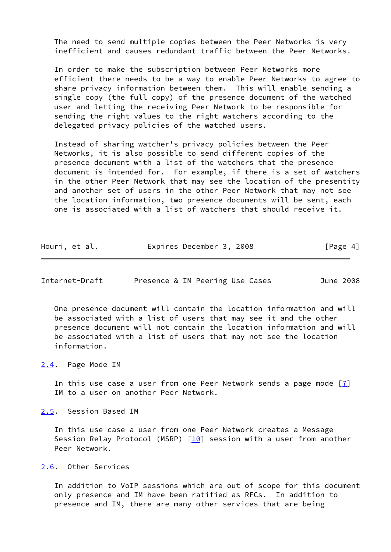The need to send multiple copies between the Peer Networks is very inefficient and causes redundant traffic between the Peer Networks.

 In order to make the subscription between Peer Networks more efficient there needs to be a way to enable Peer Networks to agree to share privacy information between them. This will enable sending a single copy (the full copy) of the presence document of the watched user and letting the receiving Peer Network to be responsible for sending the right values to the right watchers according to the delegated privacy policies of the watched users.

 Instead of sharing watcher's privacy policies between the Peer Networks, it is also possible to send different copies of the presence document with a list of the watchers that the presence document is intended for. For example, if there is a set of watchers in the other Peer Network that may see the location of the presentity and another set of users in the other Peer Network that may not see the location information, two presence documents will be sent, each one is associated with a list of watchers that should receive it.

| Houri, et al. | Expires December 3, 2008 | [Page 4] |
|---------------|--------------------------|----------|
|---------------|--------------------------|----------|

<span id="page-4-1"></span>

| Internet-Draft | Presence & IM Peering Use Cases | June 2008 |
|----------------|---------------------------------|-----------|
|----------------|---------------------------------|-----------|

 One presence document will contain the location information and will be associated with a list of users that may see it and the other presence document will not contain the location information and will be associated with a list of users that may not see the location information.

<span id="page-4-0"></span>[2.4](#page-4-0). Page Mode IM

In this use case a user from one Peer Network sends a page mode  $[7]$  $[7]$ IM to a user on another Peer Network.

<span id="page-4-2"></span>[2.5](#page-4-2). Session Based IM

 In this use case a user from one Peer Network creates a Message Session Relay Protocol (MSRP)  $[10]$  $[10]$  session with a user from another Peer Network.

<span id="page-4-3"></span>[2.6](#page-4-3). Other Services

 In addition to VoIP sessions which are out of scope for this document only presence and IM have been ratified as RFCs. In addition to presence and IM, there are many other services that are being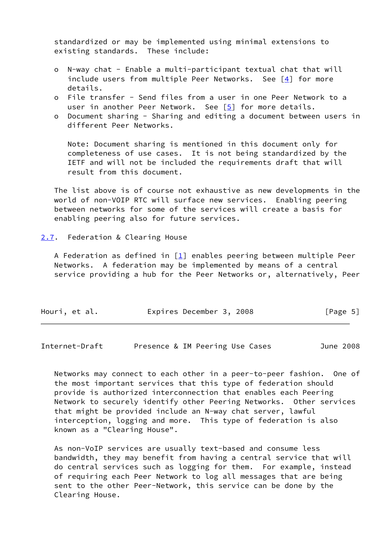standardized or may be implemented using minimal extensions to existing standards. These include:

- o N-way chat Enable a multi-participant textual chat that will include users from multiple Peer Networks. See [[4\]](#page-7-6) for more details.
- o File transfer Send files from a user in one Peer Network to a user in another Peer Network. See [[5\]](#page-7-7) for more details.
- o Document sharing Sharing and editing a document between users in different Peer Networks.

 Note: Document sharing is mentioned in this document only for completeness of use cases. It is not being standardized by the IETF and will not be included the requirements draft that will result from this document.

 The list above is of course not exhaustive as new developments in the world of non-VOIP RTC will surface new services. Enabling peering between networks for some of the services will create a basis for enabling peering also for future services.

## <span id="page-5-0"></span>[2.7](#page-5-0). Federation & Clearing House

A Federation as defined in  $[1]$  $[1]$  enables peering between multiple Peer Networks. A federation may be implemented by means of a central service providing a hub for the Peer Networks or, alternatively, Peer

| Houri, et al. | Expires December 3, 2008 | [Page 5] |
|---------------|--------------------------|----------|
|               |                          |          |

<span id="page-5-1"></span>Internet-Draft Presence & IM Peering Use Cases June 2008

 Networks may connect to each other in a peer-to-peer fashion. One of the most important services that this type of federation should provide is authorized interconnection that enables each Peering Network to securely identify other Peering Networks. Other services that might be provided include an N-way chat server, lawful interception, logging and more. This type of federation is also known as a "Clearing House".

 As non-VoIP services are usually text-based and consume less bandwidth, they may benefit from having a central service that will do central services such as logging for them. For example, instead of requiring each Peer Network to log all messages that are being sent to the other Peer-Network, this service can be done by the Clearing House.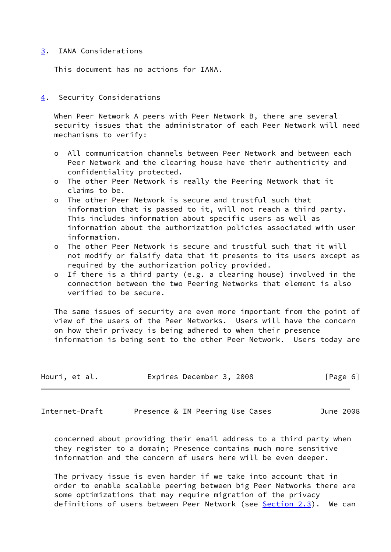# <span id="page-6-0"></span>[3](#page-6-0). IANA Considerations

This document has no actions for IANA.

# <span id="page-6-1"></span>[4](#page-6-1). Security Considerations

 When Peer Network A peers with Peer Network B, there are several security issues that the administrator of each Peer Network will need mechanisms to verify:

- o All communication channels between Peer Network and between each Peer Network and the clearing house have their authenticity and confidentiality protected.
- o The other Peer Network is really the Peering Network that it claims to be.
- o The other Peer Network is secure and trustful such that information that is passed to it, will not reach a third party. This includes information about specific users as well as information about the authorization policies associated with user information.
- o The other Peer Network is secure and trustful such that it will not modify or falsify data that it presents to its users except as required by the authorization policy provided.
- o If there is a third party (e.g. a clearing house) involved in the connection between the two Peering Networks that element is also verified to be secure.

 The same issues of security are even more important from the point of view of the users of the Peer Networks. Users will have the concern on how their privacy is being adhered to when their presence information is being sent to the other Peer Network. Users today are

| Houri, et al. | Expires December 3, 2008 | [Page 6] |
|---------------|--------------------------|----------|
|---------------|--------------------------|----------|

<span id="page-6-2"></span>Internet-Draft Presence & IM Peering Use Cases June 2008

 concerned about providing their email address to a third party when they register to a domain; Presence contains much more sensitive information and the concern of users here will be even deeper.

 The privacy issue is even harder if we take into account that in order to enable scalable peering between big Peer Networks there are some optimizations that may require migration of the privacy definitions of users between Peer Network (see [Section 2.3](#page-3-2)). We can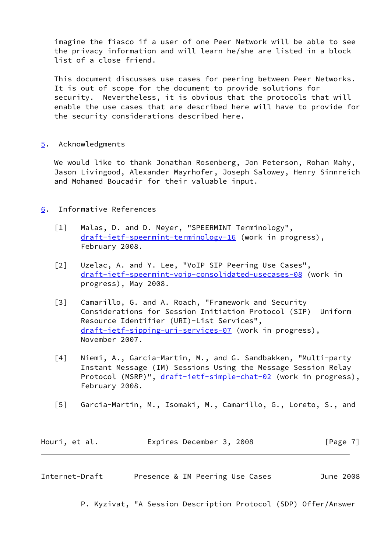imagine the fiasco if a user of one Peer Network will be able to see the privacy information and will learn he/she are listed in a block list of a close friend.

 This document discusses use cases for peering between Peer Networks. It is out of scope for the document to provide solutions for security. Nevertheless, it is obvious that the protocols that will enable the use cases that are described here will have to provide for the security considerations described here.

# <span id="page-7-0"></span>[5](#page-7-0). Acknowledgments

 We would like to thank Jonathan Rosenberg, Jon Peterson, Rohan Mahy, Jason Livingood, Alexander Mayrhofer, Joseph Salowey, Henry Sinnreich and Mohamed Boucadir for their valuable input.

- <span id="page-7-5"></span><span id="page-7-4"></span><span id="page-7-3"></span><span id="page-7-1"></span>[6](#page-7-1). Informative References
	- [1] Malas, D. and D. Meyer, "SPEERMINT Terminology", [draft-ietf-speermint-terminology-16](https://datatracker.ietf.org/doc/pdf/draft-ietf-speermint-terminology-16) (work in progress), February 2008.
	- [2] Uzelac, A. and Y. Lee, "VoIP SIP Peering Use Cases", [draft-ietf-speermint-voip-consolidated-usecases-08](https://datatracker.ietf.org/doc/pdf/draft-ietf-speermint-voip-consolidated-usecases-08) (work in progress), May 2008.
	- [3] Camarillo, G. and A. Roach, "Framework and Security Considerations for Session Initiation Protocol (SIP) Uniform Resource Identifier (URI)-List Services", [draft-ietf-sipping-uri-services-07](https://datatracker.ietf.org/doc/pdf/draft-ietf-sipping-uri-services-07) (work in progress), November 2007.
	- [4] Niemi, A., Garcia-Martin, M., and G. Sandbakken, "Multi-party Instant Message (IM) Sessions Using the Message Session Relay Protocol (MSRP)", [draft-ietf-simple-chat-02](https://datatracker.ietf.org/doc/pdf/draft-ietf-simple-chat-02) (work in progress), February 2008.
	- [5] Garcia-Martin, M., Isomaki, M., Camarillo, G., Loreto, S., and

<span id="page-7-7"></span><span id="page-7-6"></span>

| Houri, et al. | Expires December 3, 2008 | [Page 7] |
|---------------|--------------------------|----------|
|---------------|--------------------------|----------|

<span id="page-7-2"></span>Internet-Draft Presence & IM Peering Use Cases June 2008

P. Kyzivat, "A Session Description Protocol (SDP) Offer/Answer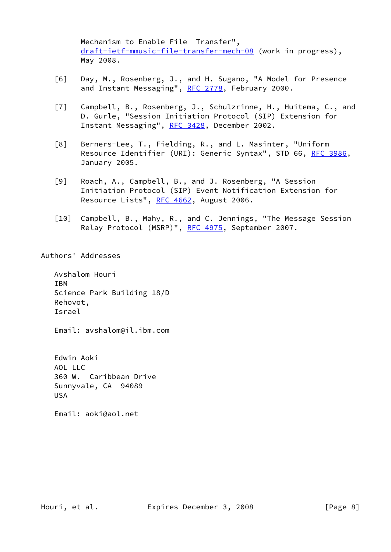Mechanism to Enable File Transfer", [draft-ietf-mmusic-file-transfer-mech-08](https://datatracker.ietf.org/doc/pdf/draft-ietf-mmusic-file-transfer-mech-08) (work in progress), May 2008.

- <span id="page-8-2"></span> [6] Day, M., Rosenberg, J., and H. Sugano, "A Model for Presence and Instant Messaging", [RFC 2778](https://datatracker.ietf.org/doc/pdf/rfc2778), February 2000.
- <span id="page-8-3"></span> [7] Campbell, B., Rosenberg, J., Schulzrinne, H., Huitema, C., and D. Gurle, "Session Initiation Protocol (SIP) Extension for Instant Messaging", [RFC 3428](https://datatracker.ietf.org/doc/pdf/rfc3428), December 2002.
- <span id="page-8-0"></span> [8] Berners-Lee, T., Fielding, R., and L. Masinter, "Uniform Resource Identifier (URI): Generic Syntax", STD 66, [RFC 3986](https://datatracker.ietf.org/doc/pdf/rfc3986), January 2005.
- <span id="page-8-1"></span> [9] Roach, A., Campbell, B., and J. Rosenberg, "A Session Initiation Protocol (SIP) Event Notification Extension for Resource Lists", [RFC 4662,](https://datatracker.ietf.org/doc/pdf/rfc4662) August 2006.
- <span id="page-8-4"></span> [10] Campbell, B., Mahy, R., and C. Jennings, "The Message Session Relay Protocol (MSRP)", [RFC 4975](https://datatracker.ietf.org/doc/pdf/rfc4975), September 2007.

## Authors' Addresses

 Avshalom Houri IBM Science Park Building 18/D Rehovot, Israel

Email: avshalom@il.ibm.com

 Edwin Aoki AOL LLC 360 W. Caribbean Drive Sunnyvale, CA 94089 USA

Email: aoki@aol.net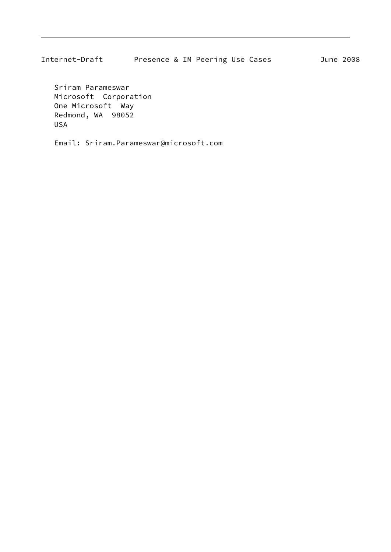Internet-Draft Presence & IM Peering Use Cases June 2008

 Sriram Parameswar Microsoft Corporation One Microsoft Way Redmond, WA 98052 USA

Email: Sriram.Parameswar@microsoft.com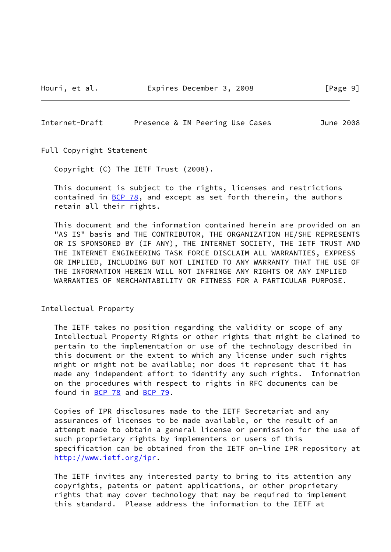#### <span id="page-10-0"></span>Internet-Draft Presence & IM Peering Use Cases June 2008

Full Copyright Statement

Copyright (C) The IETF Trust (2008).

 This document is subject to the rights, licenses and restrictions contained in  $BCP$  78, and except as set forth therein, the authors retain all their rights.

 This document and the information contained herein are provided on an "AS IS" basis and THE CONTRIBUTOR, THE ORGANIZATION HE/SHE REPRESENTS OR IS SPONSORED BY (IF ANY), THE INTERNET SOCIETY, THE IETF TRUST AND THE INTERNET ENGINEERING TASK FORCE DISCLAIM ALL WARRANTIES, EXPRESS OR IMPLIED, INCLUDING BUT NOT LIMITED TO ANY WARRANTY THAT THE USE OF THE INFORMATION HEREIN WILL NOT INFRINGE ANY RIGHTS OR ANY IMPLIED WARRANTIES OF MERCHANTABILITY OR FITNESS FOR A PARTICULAR PURPOSE.

## Intellectual Property

 The IETF takes no position regarding the validity or scope of any Intellectual Property Rights or other rights that might be claimed to pertain to the implementation or use of the technology described in this document or the extent to which any license under such rights might or might not be available; nor does it represent that it has made any independent effort to identify any such rights. Information on the procedures with respect to rights in RFC documents can be found in [BCP 78](https://datatracker.ietf.org/doc/pdf/bcp78) and [BCP 79](https://datatracker.ietf.org/doc/pdf/bcp79).

 Copies of IPR disclosures made to the IETF Secretariat and any assurances of licenses to be made available, or the result of an attempt made to obtain a general license or permission for the use of such proprietary rights by implementers or users of this specification can be obtained from the IETF on-line IPR repository at <http://www.ietf.org/ipr>.

 The IETF invites any interested party to bring to its attention any copyrights, patents or patent applications, or other proprietary rights that may cover technology that may be required to implement this standard. Please address the information to the IETF at